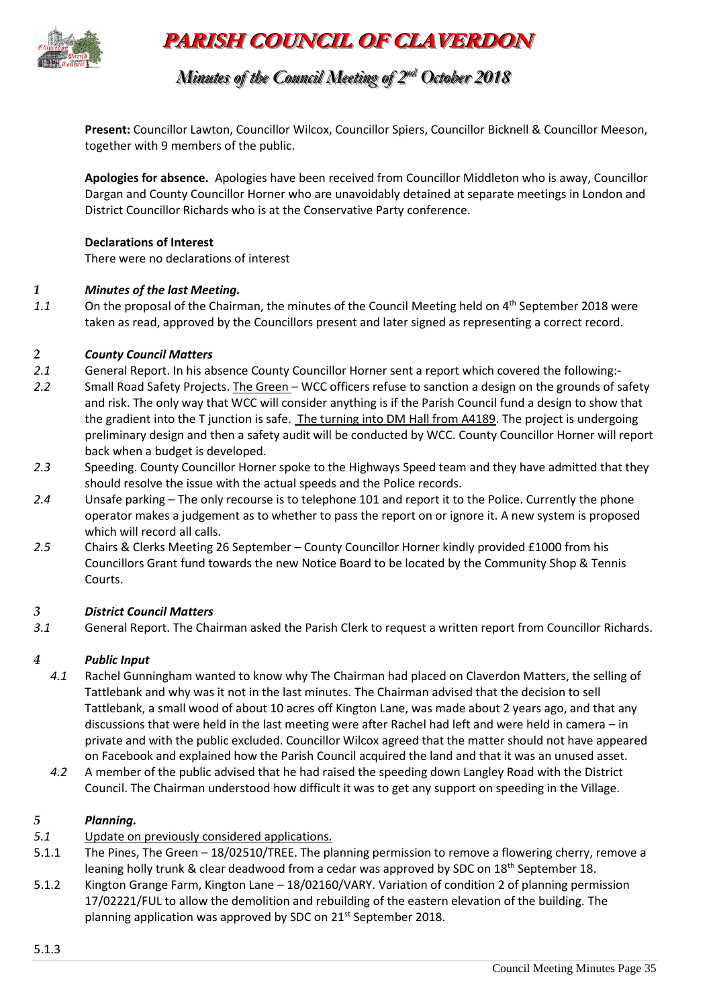

# **PARISH COUNCIL OF CLAVERDON**

*Minutes of the Council Meeting of 2 nndd October 2018*

**Present:** Councillor Lawton, Councillor Wilcox, Councillor Spiers, Councillor Bicknell & Councillor Meeson, together with 9 members of the public.

**Apologies for absence.** Apologies have been received from Councillor Middleton who is away, Councillor Dargan and County Councillor Horner who are unavoidably detained at separate meetings in London and District Councillor Richards who is at the Conservative Party conference.

#### **Declarations of Interest**

There were no declarations of interest

#### *1 Minutes of the last Meeting.*

1.1 On the proposal of the Chairman, the minutes of the Council Meeting held on 4<sup>th</sup> September 2018 were taken as read, approved by the Councillors present and later signed as representing a correct record.

#### *2 County Council Matters*

- *2.1* General Report. In his absence County Councillor Horner sent a report which covered the following:-
- *2.2* Small Road Safety Projects. The Green WCC officers refuse to sanction a design on the grounds of safety and risk. The only way that WCC will consider anything is if the Parish Council fund a design to show that the gradient into the T junction is safe. The turning into DM Hall from A4189. The project is undergoing preliminary design and then a safety audit will be conducted by WCC. County Councillor Horner will report back when a budget is developed.
- *2.3* Speeding. County Councillor Horner spoke to the Highways Speed team and they have admitted that they should resolve the issue with the actual speeds and the Police records.
- *2.4* Unsafe parking The only recourse is to telephone 101 and report it to the Police. Currently the phone operator makes a judgement as to whether to pass the report on or ignore it. A new system is proposed which will record all calls.
- *2.5* Chairs & Clerks Meeting 26 September County Councillor Horner kindly provided £1000 from his Councillors Grant fund towards the new Notice Board to be located by the Community Shop & Tennis Courts.

## *3 District Council Matters*

*3.1* General Report. The Chairman asked the Parish Clerk to request a written report from Councillor Richards.

## *4 Public Input*

- *4.1* Rachel Gunningham wanted to know why The Chairman had placed on Claverdon Matters, the selling of Tattlebank and why was it not in the last minutes. The Chairman advised that the decision to sell Tattlebank, a small wood of about 10 acres off Kington Lane, was made about 2 years ago, and that any discussions that were held in the last meeting were after Rachel had left and were held in camera – in private and with the public excluded. Councillor Wilcox agreed that the matter should not have appeared on Facebook and explained how the Parish Council acquired the land and that it was an unused asset.
- *4.2* A member of the public advised that he had raised the speeding down Langley Road with the District Council. The Chairman understood how difficult it was to get any support on speeding in the Village.

#### *5 Planning.*

- *5.1* Update on previously considered applications.
- 5.1.1 The Pines, The Green 18/02510/TREE. The planning permission to remove a flowering cherry, remove a leaning holly trunk & clear deadwood from a cedar was approved by SDC on 18<sup>th</sup> September 18.
- 5.1.2 Kington Grange Farm, Kington Lane 18/02160/VARY. Variation of condition 2 of planning permission 17/02221/FUL to allow the demolition and rebuilding of the eastern elevation of the building. The planning application was approved by SDC on 21<sup>st</sup> September 2018.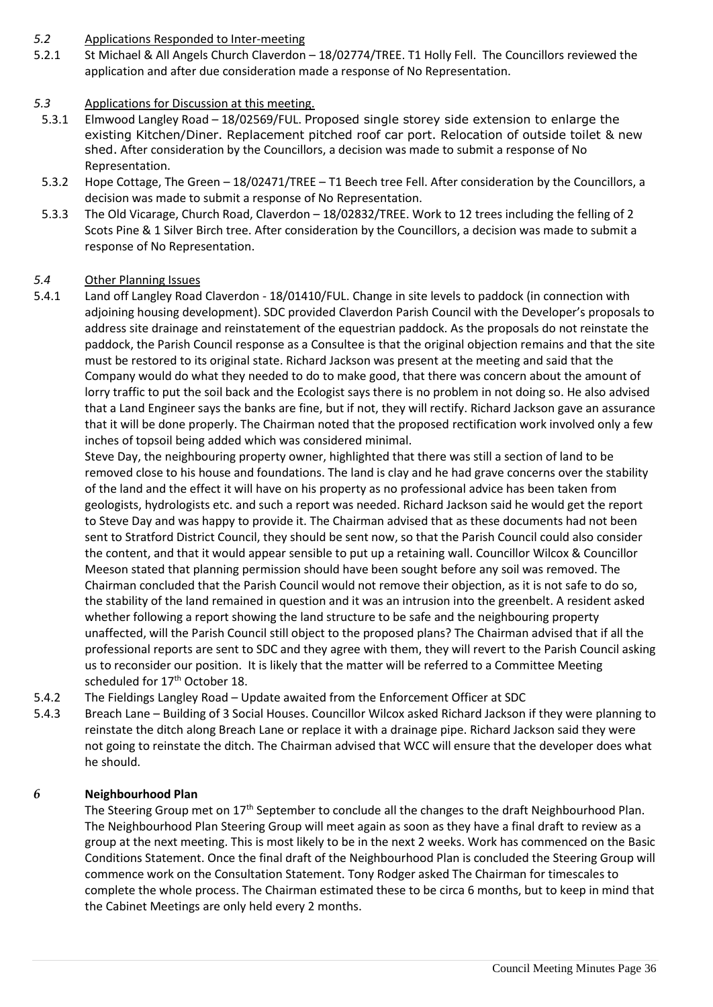#### *5.2* Applications Responded to Inter-meeting

5.2.1 St Michael & All Angels Church Claverdon – 18/02774/TREE. T1 Holly Fell. The Councillors reviewed the application and after due consideration made a response of No Representation.

## *5.3* Applications for Discussion at this meeting.

- 5.3.1 Elmwood Langley Road 18/02569/FUL. Proposed single storey side extension to enlarge the existing Kitchen/Diner. Replacement pitched roof car port. Relocation of outside toilet & new shed. After consideration by the Councillors, a decision was made to submit a response of No Representation.
- 5.3.2 Hope Cottage, The Green 18/02471/TREE T1 Beech tree Fell. After consideration by the Councillors, a decision was made to submit a response of No Representation.
- 5.3.3 The Old Vicarage, Church Road, Claverdon 18/02832/TREE. Work to 12 trees including the felling of 2 Scots Pine & 1 Silver Birch tree. After consideration by the Councillors, a decision was made to submit a response of No Representation.

#### *5.4* Other Planning Issues

5.4.1 Land off Langley Road Claverdon - 18/01410/FUL. Change in site levels to paddock (in connection with adjoining housing development). SDC provided Claverdon Parish Council with the Developer's proposals to address site drainage and reinstatement of the equestrian paddock. As the proposals do not reinstate the paddock, the Parish Council response as a Consultee is that the original objection remains and that the site must be restored to its original state. Richard Jackson was present at the meeting and said that the Company would do what they needed to do to make good, that there was concern about the amount of lorry traffic to put the soil back and the Ecologist says there is no problem in not doing so. He also advised that a Land Engineer says the banks are fine, but if not, they will rectify. Richard Jackson gave an assurance that it will be done properly. The Chairman noted that the proposed rectification work involved only a few inches of topsoil being added which was considered minimal.

Steve Day, the neighbouring property owner, highlighted that there was still a section of land to be removed close to his house and foundations. The land is clay and he had grave concerns over the stability of the land and the effect it will have on his property as no professional advice has been taken from geologists, hydrologists etc. and such a report was needed. Richard Jackson said he would get the report to Steve Day and was happy to provide it. The Chairman advised that as these documents had not been sent to Stratford District Council, they should be sent now, so that the Parish Council could also consider the content, and that it would appear sensible to put up a retaining wall. Councillor Wilcox & Councillor Meeson stated that planning permission should have been sought before any soil was removed. The Chairman concluded that the Parish Council would not remove their objection, as it is not safe to do so, the stability of the land remained in question and it was an intrusion into the greenbelt. A resident asked whether following a report showing the land structure to be safe and the neighbouring property unaffected, will the Parish Council still object to the proposed plans? The Chairman advised that if all the professional reports are sent to SDC and they agree with them, they will revert to the Parish Council asking us to reconsider our position. It is likely that the matter will be referred to a Committee Meeting scheduled for 17<sup>th</sup> October 18.

- 5.4.2 The Fieldings Langley Road Update awaited from the Enforcement Officer at SDC
- 5.4.3 Breach Lane Building of 3 Social Houses. Councillor Wilcox asked Richard Jackson if they were planning to reinstate the ditch along Breach Lane or replace it with a drainage pipe. Richard Jackson said they were not going to reinstate the ditch. The Chairman advised that WCC will ensure that the developer does what he should.

## *6* **Neighbourhood Plan**

The Steering Group met on 17<sup>th</sup> September to conclude all the changes to the draft Neighbourhood Plan. The Neighbourhood Plan Steering Group will meet again as soon as they have a final draft to review as a group at the next meeting. This is most likely to be in the next 2 weeks. Work has commenced on the Basic Conditions Statement. Once the final draft of the Neighbourhood Plan is concluded the Steering Group will commence work on the Consultation Statement. Tony Rodger asked The Chairman for timescales to complete the whole process. The Chairman estimated these to be circa 6 months, but to keep in mind that the Cabinet Meetings are only held every 2 months.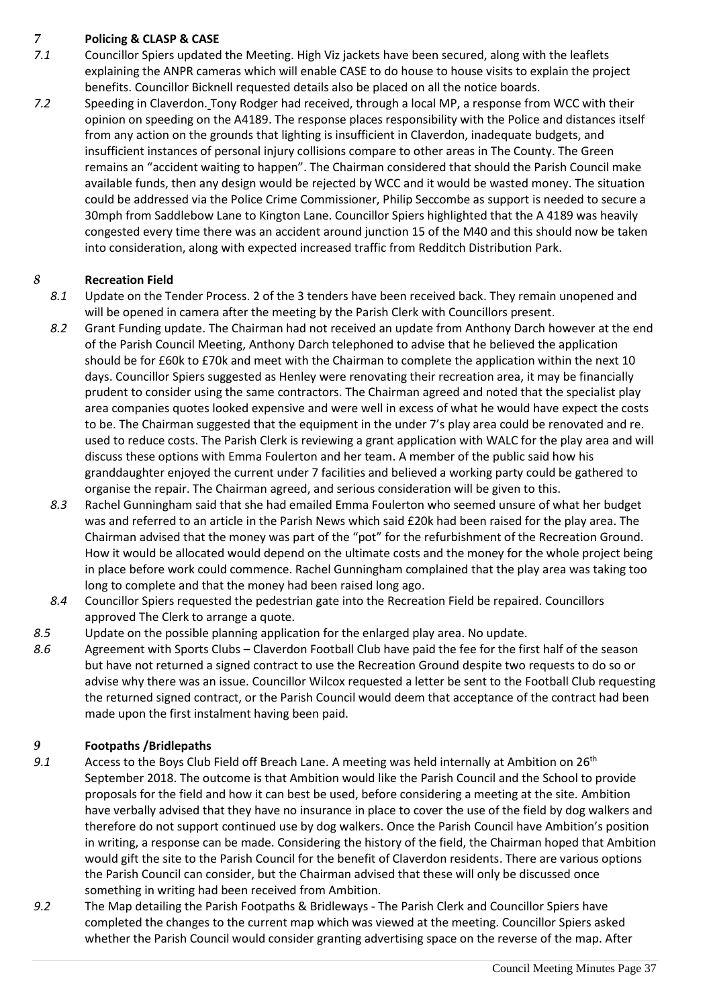## *7* **Policing & CLASP & CASE**

- *7.1* Councillor Spiers updated the Meeting. High Viz jackets have been secured, along with the leaflets explaining the ANPR cameras which will enable CASE to do house to house visits to explain the project benefits. Councillor Bicknell requested details also be placed on all the notice boards.
- *7.2* Speeding in Claverdon. Tony Rodger had received, through a local MP, a response from WCC with their opinion on speeding on the A4189. The response places responsibility with the Police and distances itself from any action on the grounds that lighting is insufficient in Claverdon, inadequate budgets, and insufficient instances of personal injury collisions compare to other areas in The County. The Green remains an "accident waiting to happen". The Chairman considered that should the Parish Council make available funds, then any design would be rejected by WCC and it would be wasted money. The situation could be addressed via the Police Crime Commissioner, Philip Seccombe as support is needed to secure a 30mph from Saddlebow Lane to Kington Lane. Councillor Spiers highlighted that the A 4189 was heavily congested every time there was an accident around junction 15 of the M40 and this should now be taken into consideration, along with expected increased traffic from Redditch Distribution Park.

# *8* **Recreation Field**

- *8.1* Update on the Tender Process. 2 of the 3 tenders have been received back. They remain unopened and will be opened in camera after the meeting by the Parish Clerk with Councillors present.
- *8.2* Grant Funding update. The Chairman had not received an update from Anthony Darch however at the end of the Parish Council Meeting, Anthony Darch telephoned to advise that he believed the application should be for £60k to £70k and meet with the Chairman to complete the application within the next 10 days. Councillor Spiers suggested as Henley were renovating their recreation area, it may be financially prudent to consider using the same contractors. The Chairman agreed and noted that the specialist play area companies quotes looked expensive and were well in excess of what he would have expect the costs to be. The Chairman suggested that the equipment in the under 7's play area could be renovated and re. used to reduce costs. The Parish Clerk is reviewing a grant application with WALC for the play area and will discuss these options with Emma Foulerton and her team. A member of the public said how his granddaughter enjoyed the current under 7 facilities and believed a working party could be gathered to organise the repair. The Chairman agreed, and serious consideration will be given to this.
- *8.3* Rachel Gunningham said that she had emailed Emma Foulerton who seemed unsure of what her budget was and referred to an article in the Parish News which said £20k had been raised for the play area. The Chairman advised that the money was part of the "pot" for the refurbishment of the Recreation Ground. How it would be allocated would depend on the ultimate costs and the money for the whole project being in place before work could commence. Rachel Gunningham complained that the play area was taking too long to complete and that the money had been raised long ago.
- *8.4* Councillor Spiers requested the pedestrian gate into the Recreation Field be repaired. Councillors approved The Clerk to arrange a quote.
- *8.5* Update on the possible planning application for the enlarged play area. No update.
- *8.6* Agreement with Sports Clubs Claverdon Football Club have paid the fee for the first half of the season but have not returned a signed contract to use the Recreation Ground despite two requests to do so or advise why there was an issue. Councillor Wilcox requested a letter be sent to the Football Club requesting the returned signed contract, or the Parish Council would deem that acceptance of the contract had been made upon the first instalment having been paid.

## *9* **Footpaths /Bridlepaths**

- 9.1 Access to the Boys Club Field off Breach Lane. A meeting was held internally at Ambition on 26<sup>th</sup> September 2018. The outcome is that Ambition would like the Parish Council and the School to provide proposals for the field and how it can best be used, before considering a meeting at the site. Ambition have verbally advised that they have no insurance in place to cover the use of the field by dog walkers and therefore do not support continued use by dog walkers. Once the Parish Council have Ambition's position in writing, a response can be made. Considering the history of the field, the Chairman hoped that Ambition would gift the site to the Parish Council for the benefit of Claverdon residents. There are various options the Parish Council can consider, but the Chairman advised that these will only be discussed once something in writing had been received from Ambition.
- *9.2* The Map detailing the Parish Footpaths & Bridleways The Parish Clerk and Councillor Spiers have completed the changes to the current map which was viewed at the meeting. Councillor Spiers asked whether the Parish Council would consider granting advertising space on the reverse of the map. After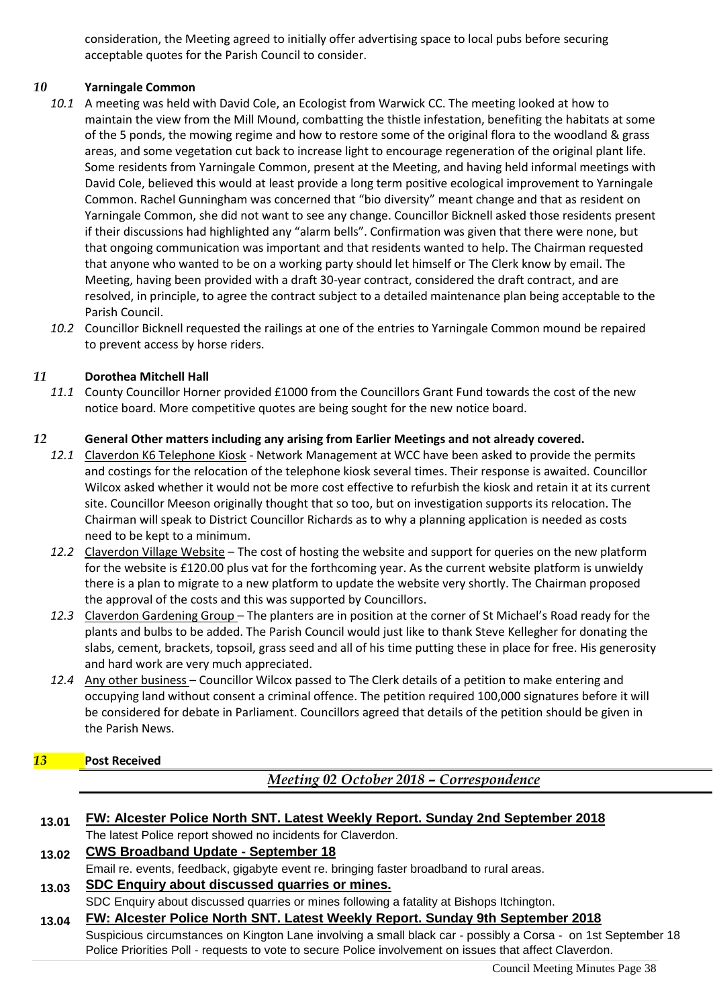consideration, the Meeting agreed to initially offer advertising space to local pubs before securing acceptable quotes for the Parish Council to consider.

#### *10* **Yarningale Common**

- *10.1* A meeting was held with David Cole, an Ecologist from Warwick CC. The meeting looked at how to maintain the view from the Mill Mound, combatting the thistle infestation, benefiting the habitats at some of the 5 ponds, the mowing regime and how to restore some of the original flora to the woodland & grass areas, and some vegetation cut back to increase light to encourage regeneration of the original plant life. Some residents from Yarningale Common, present at the Meeting, and having held informal meetings with David Cole, believed this would at least provide a long term positive ecological improvement to Yarningale Common. Rachel Gunningham was concerned that "bio diversity" meant change and that as resident on Yarningale Common, she did not want to see any change. Councillor Bicknell asked those residents present if their discussions had highlighted any "alarm bells". Confirmation was given that there were none, but that ongoing communication was important and that residents wanted to help. The Chairman requested that anyone who wanted to be on a working party should let himself or The Clerk know by email. The Meeting, having been provided with a draft 30-year contract, considered the draft contract, and are resolved, in principle, to agree the contract subject to a detailed maintenance plan being acceptable to the Parish Council.
- *10.2* Councillor Bicknell requested the railings at one of the entries to Yarningale Common mound be repaired to prevent access by horse riders.

#### *11* **Dorothea Mitchell Hall**

*11.1* County Councillor Horner provided £1000 from the Councillors Grant Fund towards the cost of the new notice board. More competitive quotes are being sought for the new notice board.

#### *12* **General Other matters including any arising from Earlier Meetings and not already covered.**

- *12.1* Claverdon K6 Telephone Kiosk Network Management at WCC have been asked to provide the permits and costings for the relocation of the telephone kiosk several times. Their response is awaited. Councillor Wilcox asked whether it would not be more cost effective to refurbish the kiosk and retain it at its current site. Councillor Meeson originally thought that so too, but on investigation supports its relocation. The Chairman will speak to District Councillor Richards as to why a planning application is needed as costs need to be kept to a minimum.
- *12.2* Claverdon Village Website The cost of hosting the website and support for queries on the new platform for the website is £120.00 plus vat for the forthcoming year. As the current website platform is unwieldy there is a plan to migrate to a new platform to update the website very shortly. The Chairman proposed the approval of the costs and this was supported by Councillors.
- *12.3* Claverdon Gardening Group The planters are in position at the corner of St Michael's Road ready for the plants and bulbs to be added. The Parish Council would just like to thank Steve Kellegher for donating the slabs, cement, brackets, topsoil, grass seed and all of his time putting these in place for free. His generosity and hard work are very much appreciated.
- *12.4* Any other business Councillor Wilcox passed to The Clerk details of a petition to make entering and occupying land without consent a criminal offence. The petition required 100,000 signatures before it will be considered for debate in Parliament. Councillors agreed that details of the petition should be given in the Parish News.

## *13* **Post Received**

*Meeting 02 October 2018 – Correspondence*

| 13.01 | FW: Alcester Police North SNT. Latest Weekly Report. Sunday 2nd September 2018 |
|-------|--------------------------------------------------------------------------------|
|       | The latest Police report showed no incidents for Claverdon.                    |

# **13.02 CWS Broadband Update - September 18**

Email re. events, feedback, gigabyte event re. bringing faster broadband to rural areas.

# **13.03 SDC Enquiry about discussed quarries or mines.**

SDC Enquiry about discussed quarries or mines following a fatality at Bishops Itchington.

**13.04 FW: Alcester Police North SNT. Latest Weekly Report. Sunday 9th September 2018** Suspicious circumstances on Kington Lane involving a small black car - possibly a Corsa - on 1st September 18 Police Priorities Poll - requests to vote to secure Police involvement on issues that affect Claverdon.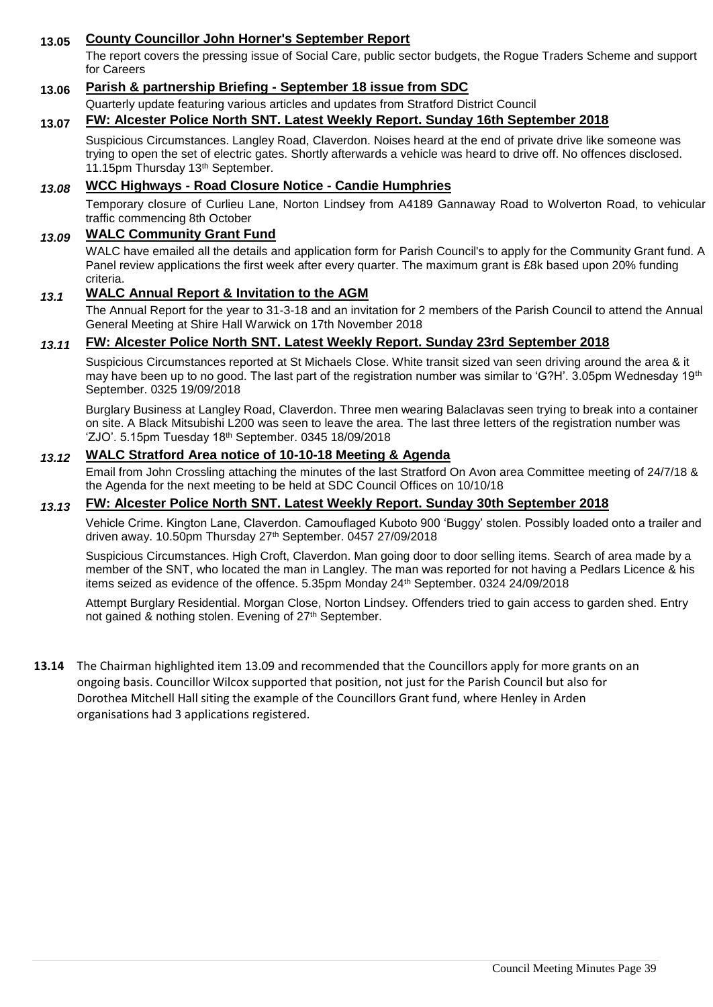## **13.05 County Councillor John Horner's September Report**

The report covers the pressing issue of Social Care, public sector budgets, the Rogue Traders Scheme and support for Careers

#### **13.06 Parish & partnership Briefing - September 18 issue from SDC**

Quarterly update featuring various articles and updates from Stratford District Council

#### **13.07 FW: Alcester Police North SNT. Latest Weekly Report. Sunday 16th September 2018**

Suspicious Circumstances. Langley Road, Claverdon. Noises heard at the end of private drive like someone was trying to open the set of electric gates. Shortly afterwards a vehicle was heard to drive off. No offences disclosed. 11.15pm Thursday 13<sup>th</sup> September.

#### *13.08* **WCC Highways - Road Closure Notice - Candie Humphries**

Temporary closure of Curlieu Lane, Norton Lindsey from A4189 Gannaway Road to Wolverton Road, to vehicular traffic commencing 8th October

#### *13.09* **WALC Community Grant Fund**

WALC have emailed all the details and application form for Parish Council's to apply for the Community Grant fund. A Panel review applications the first week after every quarter. The maximum grant is £8k based upon 20% funding criteria.

#### *13.1* **WALC Annual Report & Invitation to the AGM**

The Annual Report for the year to 31-3-18 and an invitation for 2 members of the Parish Council to attend the Annual General Meeting at Shire Hall Warwick on 17th November 2018

#### *13.11* **FW: Alcester Police North SNT. Latest Weekly Report. Sunday 23rd September 2018**

Suspicious Circumstances reported at St Michaels Close. White transit sized van seen driving around the area & it may have been up to no good. The last part of the registration number was similar to 'G?H'. 3.05pm Wednesday 19th September. 0325 19/09/2018

Burglary Business at Langley Road, Claverdon. Three men wearing Balaclavas seen trying to break into a container on site. A Black Mitsubishi L200 was seen to leave the area. The last three letters of the registration number was 'ZJO'. 5.15pm Tuesday 18th September. 0345 18/09/2018

#### *13.12* **WALC Stratford Area notice of 10-10-18 Meeting & Agenda**

Email from John Crossling attaching the minutes of the last Stratford On Avon area Committee meeting of 24/7/18 & the Agenda for the next meeting to be held at SDC Council Offices on 10/10/18

#### *13.13* **FW: Alcester Police North SNT. Latest Weekly Report. Sunday 30th September 2018**

Vehicle Crime. Kington Lane, Claverdon. Camouflaged Kuboto 900 'Buggy' stolen. Possibly loaded onto a trailer and driven away. 10.50pm Thursday 27th September. 0457 27/09/2018

Suspicious Circumstances. High Croft, Claverdon. Man going door to door selling items. Search of area made by a member of the SNT, who located the man in Langley. The man was reported for not having a Pedlars Licence & his items seized as evidence of the offence. 5.35pm Monday 24th September. 0324 24/09/2018

Attempt Burglary Residential. Morgan Close, Norton Lindsey. Offenders tried to gain access to garden shed. Entry not gained & nothing stolen. Evening of 27<sup>th</sup> September.

**13.14** The Chairman highlighted item 13.09 and recommended that the Councillors apply for more grants on an ongoing basis. Councillor Wilcox supported that position, not just for the Parish Council but also for Dorothea Mitchell Hall siting the example of the Councillors Grant fund, where Henley in Arden organisations had 3 applications registered.